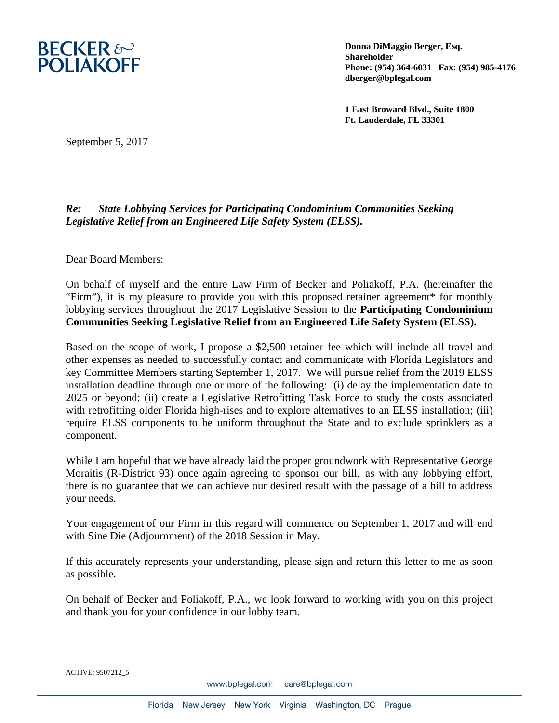

**Donna DiMaggio Berger, Esq. Shareholder Phone: (954) 364-6031 Fax: (954) 985-4176 dberger@bplegal.com** 

**1 East Broward Blvd., Suite 1800 Ft. Lauderdale, FL 33301** 

September 5, 2017

## *Re: State Lobbying Services for Participating Condominium Communities Seeking Legislative Relief from an Engineered Life Safety System (ELSS).*

Dear Board Members:

On behalf of myself and the entire Law Firm of Becker and Poliakoff, P.A. (hereinafter the "Firm"), it is my pleasure to provide you with this proposed retainer agreement\* for monthly lobbying services throughout the 2017 Legislative Session to the **Participating Condominium Communities Seeking Legislative Relief from an Engineered Life Safety System (ELSS).** 

Based on the scope of work, I propose a \$2,500 retainer fee which will include all travel and other expenses as needed to successfully contact and communicate with Florida Legislators and key Committee Members starting September 1, 2017. We will pursue relief from the 2019 ELSS installation deadline through one or more of the following: (i) delay the implementation date to 2025 or beyond; (ii) create a Legislative Retrofitting Task Force to study the costs associated with retrofitting older Florida high-rises and to explore alternatives to an ELSS installation; (iii) require ELSS components to be uniform throughout the State and to exclude sprinklers as a component.

While I am hopeful that we have already laid the proper groundwork with Representative George Moraitis (R-District 93) once again agreeing to sponsor our bill, as with any lobbying effort, there is no guarantee that we can achieve our desired result with the passage of a bill to address your needs.

Your engagement of our Firm in this regard will commence on September 1, 2017 and will end with Sine Die (Adjournment) of the 2018 Session in May.

If this accurately represents your understanding, please sign and return this letter to me as soon as possible.

On behalf of Becker and Poliakoff, P.A., we look forward to working with you on this project and thank you for your confidence in our lobby team.

ACTIVE: 9507212\_5